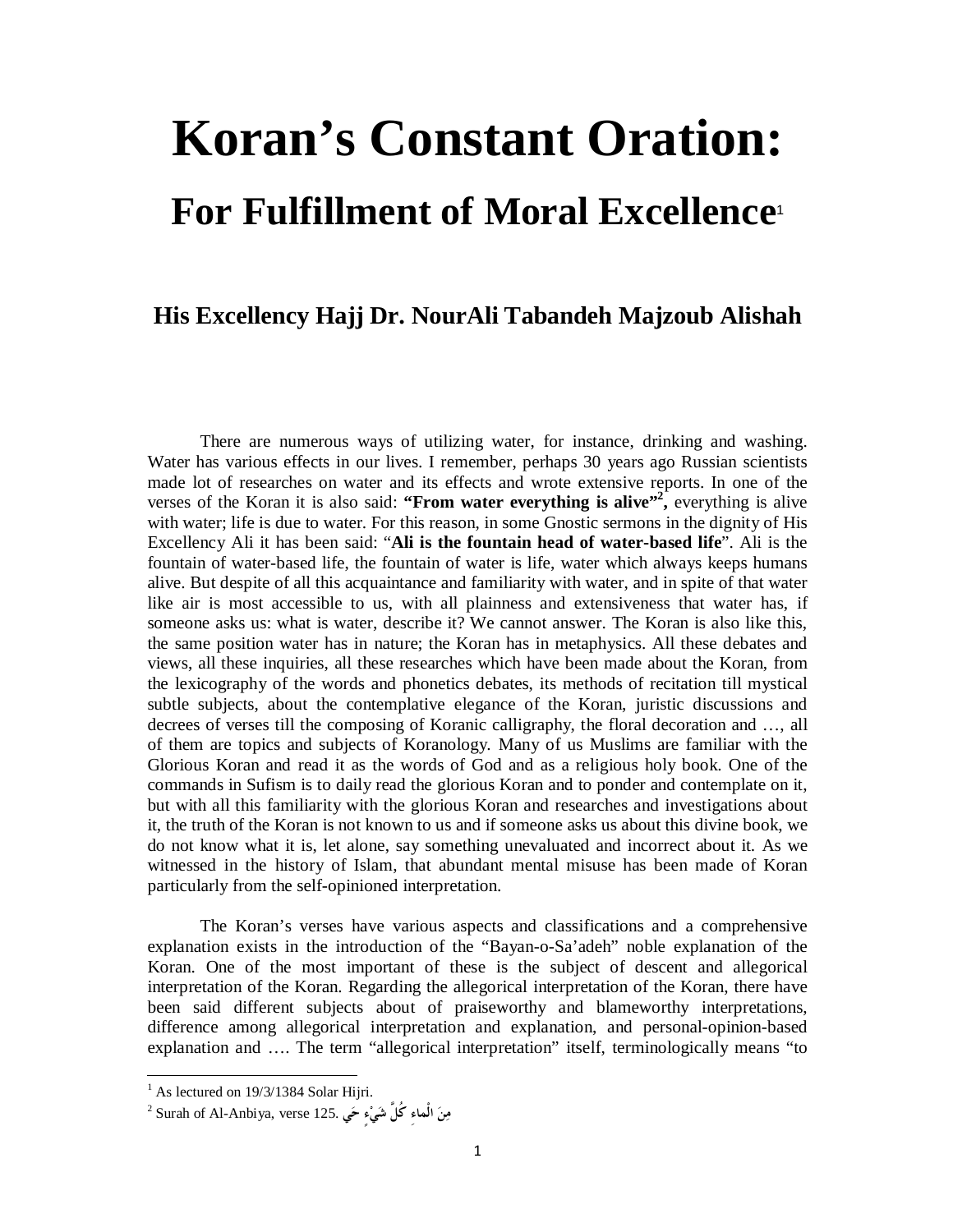## **Koran's Constant Oration: For Fulfillment of Moral Excellence**<sup>1</sup>

## **His Excellency Hajj Dr. NourAli Tabandeh Majzoub Alishah**

There are numerous ways of utilizing water, for instance, drinking and washing. Water has various effects in our lives. I remember, perhaps 30 years ago Russian scientists made lot of researches on water and its effects and wrote extensive reports. In one of the verses of the Koran it is also said: **"From water everything is alive"<sup>2</sup> ,** everything is alive with water; life is due to water. For this reason, in some Gnostic sermons in the dignity of His Excellency Ali it has been said: "**Ali is the fountain head of water-based life**". Ali is the fountain of water-based life, the fountain of water is life, water which always keeps humans alive. But despite of all this acquaintance and familiarity with water, and in spite of that water like air is most accessible to us, with all plainness and extensiveness that water has, if someone asks us: what is water, describe it? We cannot answer. The Koran is also like this, the same position water has in nature; the Koran has in metaphysics. All these debates and views, all these inquiries, all these researches which have been made about the Koran, from the lexicography of the words and phonetics debates, its methods of recitation till mystical subtle subjects, about the contemplative elegance of the Koran, juristic discussions and decrees of verses till the composing of Koranic calligraphy, the floral decoration and …, all of them are topics and subjects of Koranology. Many of us Muslims are familiar with the Glorious Koran and read it as the words of God and as a religious holy book. One of the commands in Sufism is to daily read the glorious Koran and to ponder and contemplate on it, but with all this familiarity with the glorious Koran and researches and investigations about it, the truth of the Koran is not known to us and if someone asks us about this divine book, we do not know what it is, let alone, say something unevaluated and incorrect about it. As we witnessed in the history of Islam, that abundant mental misuse has been made of Koran particularly from the self-opinioned interpretation.

The Koran's verses have various aspects and classifications and a comprehensive explanation exists in the introduction of the "Bayan-o-Sa'adeh" noble explanation of the Koran. One of the most important of these is the subject of descent and allegorical interpretation of the Koran. Regarding the allegorical interpretation of the Koran, there have been said different subjects about of praiseworthy and blameworthy interpretations, difference among allegorical interpretation and explanation, and personal-opinion-based explanation and …. The term "allegorical interpretation" itself, terminologically means "to

 $<sup>1</sup>$  As lectured on 19/3/1384 Solar Hijri.</sup>

<sup>2</sup> Surah of Al-Anbiya, verse 125. **يح ٍءيش كُلَّ ِالْماء نم**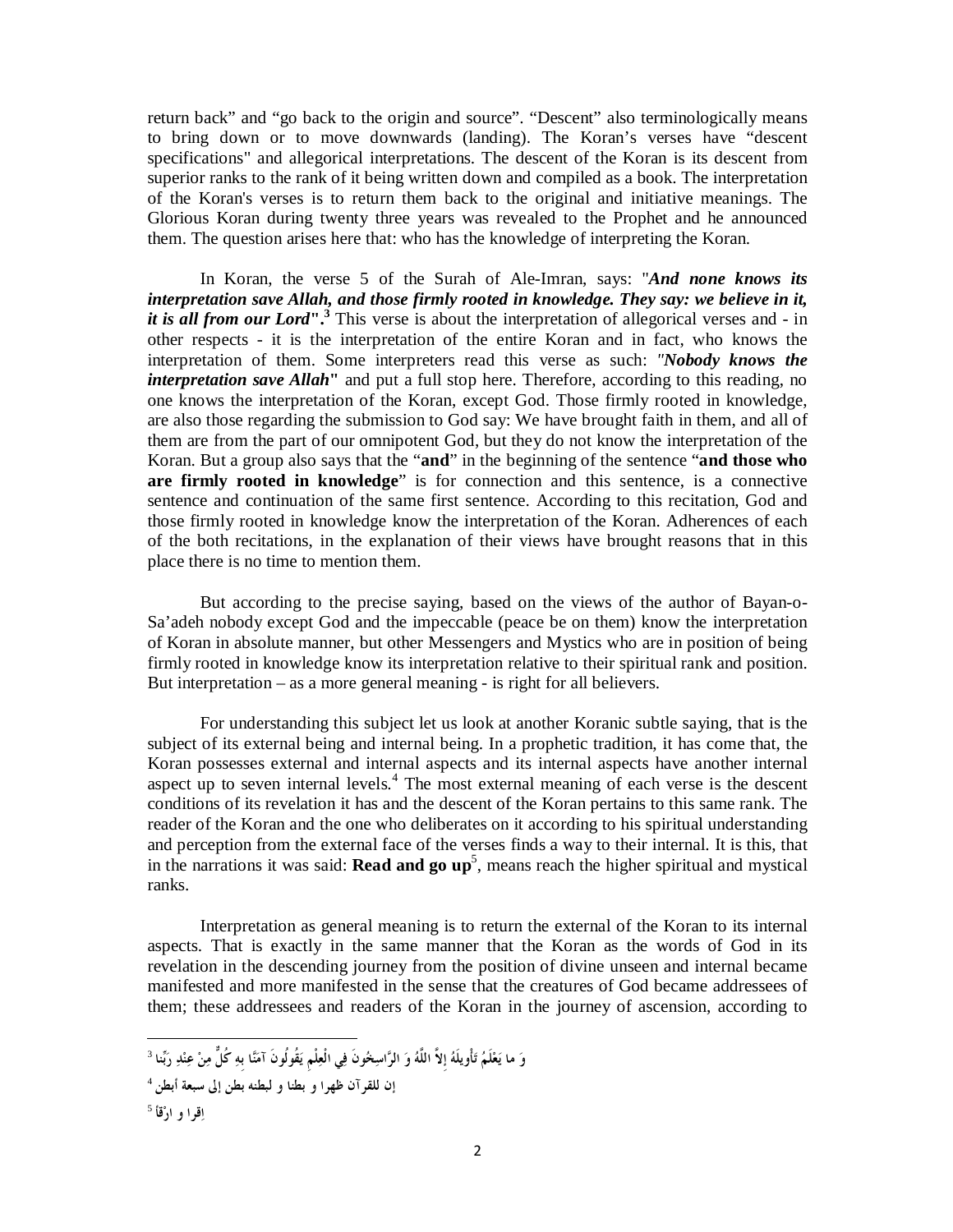return back" and "go back to the origin and source". "Descent" also terminologically means to bring down or to move downwards (landing). The Koran's verses have "descent specifications" and allegorical interpretations. The descent of the Koran is its descent from superior ranks to the rank of it being written down and compiled as a book. The interpretation of the Koran's verses is to return them back to the original and initiative meanings. The Glorious Koran during twenty three years was revealed to the Prophet and he announced them. The question arises here that: who has the knowledge of interpreting the Koran.

In Koran, the verse 5 of the Surah of Ale-Imran, says: "*And none knows its interpretation save Allah, and those firmly rooted in knowledge. They say: we believe in it, it is all from our Lord***".<sup>3</sup>** This verse is about the interpretation of allegorical verses and - in other respects - it is the interpretation of the entire Koran and in fact, who knows the interpretation of them. Some interpreters read this verse as such: *"Nobody knows the interpretation save Allah*<sup>*''*</sup> and put a full stop here. Therefore, according to this reading, no one knows the interpretation of the Koran, except God. Those firmly rooted in knowledge, are also those regarding the submission to God say: We have brought faith in them, and all of them are from the part of our omnipotent God, but they do not know the interpretation of the Koran. But a group also says that the "**and**" in the beginning of the sentence "**and those who are firmly rooted in knowledge**" is for connection and this sentence, is a connective sentence and continuation of the same first sentence. According to this recitation, God and those firmly rooted in knowledge know the interpretation of the Koran. Adherences of each of the both recitations, in the explanation of their views have brought reasons that in this place there is no time to mention them.

But according to the precise saying, based on the views of the author of Bayan-o-Sa'adeh nobody except God and the impeccable (peace be on them) know the interpretation of Koran in absolute manner, but other Messengers and Mystics who are in position of being firmly rooted in knowledge know its interpretation relative to their spiritual rank and position. But interpretation – as a more general meaning - is right for all believers.

For understanding this subject let us look at another Koranic subtle saying, that is the subject of its external being and internal being. In a prophetic tradition, it has come that, the Koran possesses external and internal aspects and its internal aspects have another internal aspect up to seven internal levels.<sup>4</sup> The most external meaning of each verse is the descent conditions of its revelation it has and the descent of the Koran pertains to this same rank. The reader of the Koran and the one who deliberates on it according to his spiritual understanding and perception from the external face of the verses finds a way to their internal. It is this, that in the narrations it was said: **Read and go up**<sup>5</sup>, means reach the higher spiritual and mystical ranks.

Interpretation as general meaning is to return the external of the Koran to its internal aspects. That is exactly in the same manner that the Koran as the words of God in its revelation in the descending journey from the position of divine unseen and internal became manifested and more manifested in the sense that the creatures of God became addressees of them; these addressees and readers of the Koran in the journey of ascension, according to

-وَ ما يَعْلَمُ تَأْويلَهُ إلاّ اللَّهُ وَ الرَّاسِخُونَ فِي الْعِلْمِ يَقُولُونَ آمَنَّا بهِ كُلٌّ مِنْ عِنْدِ رَبِّنا <sup>3</sup> 4 **إن للقرآن ظهرا و بطنا و لبطنه بطن إلى سبعة أبطن** 5 **اقرا و ارقأ**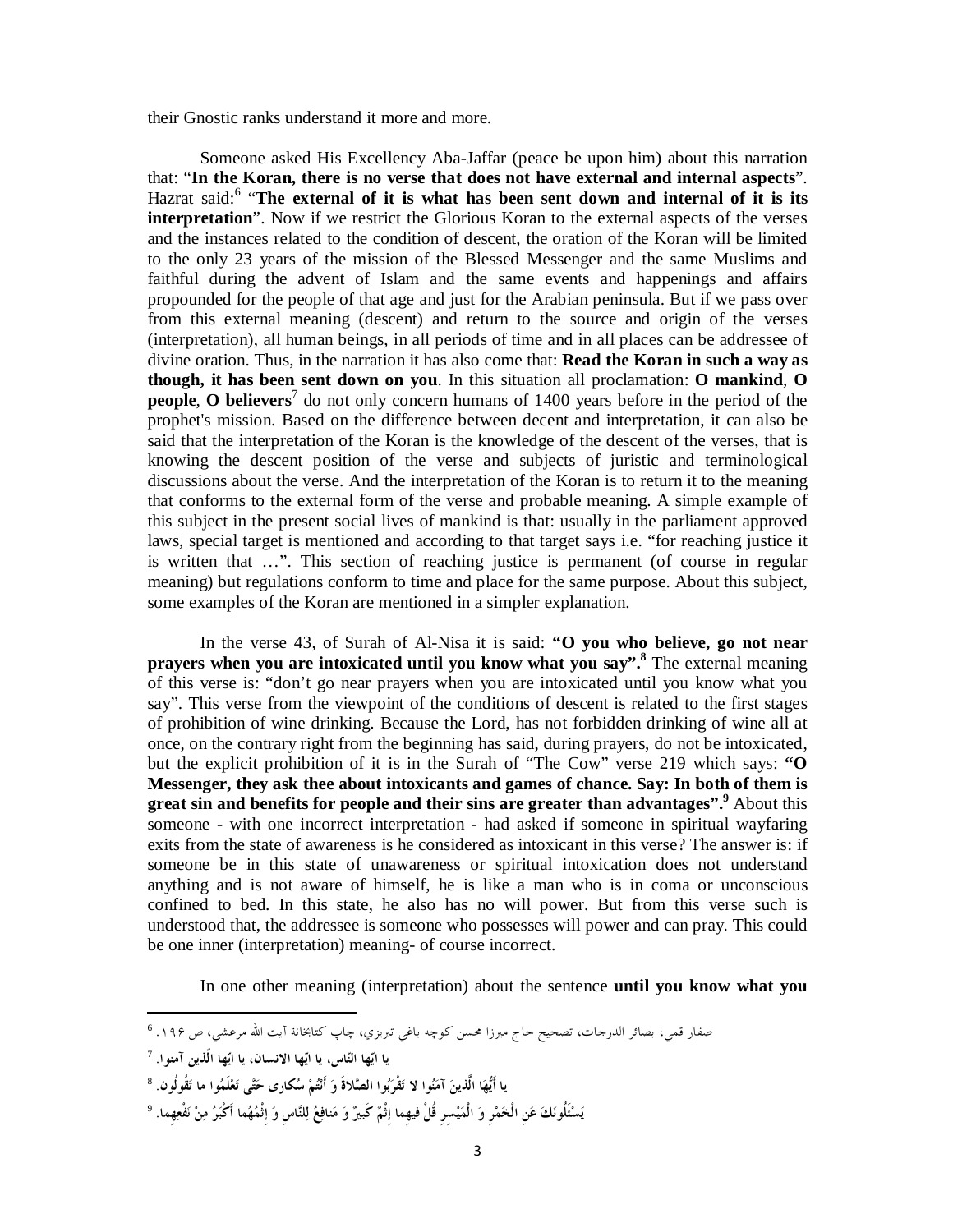their Gnostic ranks understand it more and more.

Someone asked His Excellency Aba-Jaffar (peace be upon him) about this narration that: "**In the Koran, there is no verse that does not have external and internal aspects**". Hazrat said:<sup>6</sup> "**The external of it is what has been sent down and internal of it is its interpretation**". Now if we restrict the Glorious Koran to the external aspects of the verses and the instances related to the condition of descent, the oration of the Koran will be limited to the only 23 years of the mission of the Blessed Messenger and the same Muslims and faithful during the advent of Islam and the same events and happenings and affairs propounded for the people of that age and just for the Arabian peninsula. But if we pass over from this external meaning (descent) and return to the source and origin of the verses (interpretation), all human beings, in all periods of time and in all places can be addressee of divine oration. Thus, in the narration it has also come that: **Read the Koran in such a way as though, it has been sent down on you**. In this situation all proclamation: **O mankind**, **O people**, **O** believers<sup>7</sup> do not only concern humans of 1400 years before in the period of the prophet's mission. Based on the difference between decent and interpretation, it can also be said that the interpretation of the Koran is the knowledge of the descent of the verses, that is knowing the descent position of the verse and subjects of juristic and terminological discussions about the verse. And the interpretation of the Koran is to return it to the meaning that conforms to the external form of the verse and probable meaning. A simple example of this subject in the present social lives of mankind is that: usually in the parliament approved laws, special target is mentioned and according to that target says i.e. "for reaching justice it is written that …". This section of reaching justice is permanent (of course in regular meaning) but regulations conform to time and place for the same purpose. About this subject, some examples of the Koran are mentioned in a simpler explanation.

In the verse 43, of Surah of Al-Nisa it is said: **"O you who believe, go not near prayers when you are intoxicated until you know what you say".<sup>8</sup>** The external meaning of this verse is: "don't go near prayers when you are intoxicated until you know what you say". This verse from the viewpoint of the conditions of descent is related to the first stages of prohibition of wine drinking. Because the Lord, has not forbidden drinking of wine all at once, on the contrary right from the beginning has said, during prayers, do not be intoxicated, but the explicit prohibition of it is in the Surah of "The Cow" verse 219 which says: **"O Messenger, they ask thee about intoxicants and games of chance. Say: In both of them is great sin and benefits for people and their sins are greater than advantages".<sup>9</sup>** About this someone - with one incorrect interpretation - had asked if someone in spiritual wayfaring exits from the state of awareness is he considered as intoxicant in this verse? The answer is: if someone be in this state of unawareness or spiritual intoxication does not understand anything and is not aware of himself, he is like a man who is in coma or unconscious confined to bed. In this state, he also has no will power. But from this verse such is understood that, the addressee is someone who possesses will power and can pray. This could be one inner (interpretation) meaning- of course incorrect.

In one other meaning (interpretation) about the sentence **until you know what you** 

 $\overline{a}$ 

يَسْئُلُونَكَ عَنِ الْخَمْرِ وَ الْمَيْسرِ قُلْ فِيهما إثْمٌ كَبِيرٌ وَ مَنافِعُ لِلنَّاسِ وَ إثْمُهُما أَكْبَرُ مِنْ نَفْعِهما.  $^9$ 

صفار قمي، بصائر الدرحات، تصحيح حاج ميرزا محسن كوچه باغي تبريزي، چاپ كتابخانة آيت الله مرعشي، ص ۱۹۶. <sup>6</sup>

<sup>7</sup> **يا ايها الناس، يا ايها الانسان، يا ايها الّذين آمنوا.**

<sup>8</sup> **يا أَيها الَّذين آمنوا لا تقْربوا الصلاةَ و أَنتم سكار ى حتى تعلَ موا ما تُقوُلون.**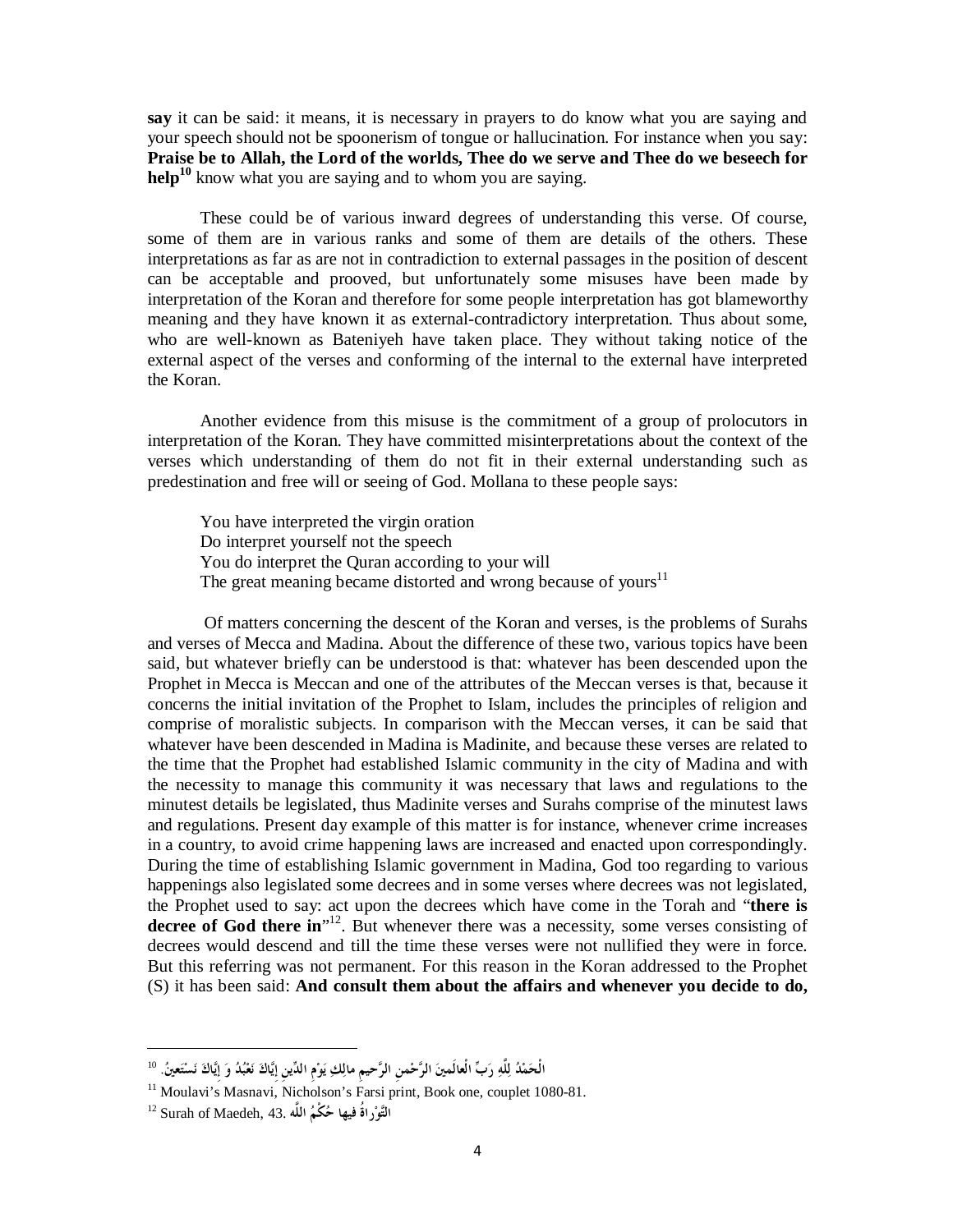**say** it can be said: it means, it is necessary in prayers to do know what you are saying and your speech should not be spoonerism of tongue or hallucination. For instance when you say: **Praise be to Allah, the Lord of the worlds, Thee do we serve and Thee do we beseech for help<sup>10</sup>** know what you are saying and to whom you are saying.

These could be of various inward degrees of understanding this verse. Of course, some of them are in various ranks and some of them are details of the others. These interpretations as far as are not in contradiction to external passages in the position of descent can be acceptable and prooved, but unfortunately some misuses have been made by interpretation of the Koran and therefore for some people interpretation has got blameworthy meaning and they have known it as external-contradictory interpretation. Thus about some, who are well-known as Bateniyeh have taken place. They without taking notice of the external aspect of the verses and conforming of the internal to the external have interpreted the Koran.

Another evidence from this misuse is the commitment of a group of prolocutors in interpretation of the Koran. They have committed misinterpretations about the context of the verses which understanding of them do not fit in their external understanding such as predestination and free will or seeing of God. Mollana to these people says:

You have interpreted the virgin oration Do interpret yourself not the speech You do interpret the Quran according to your will The great meaning became distorted and wrong because of yours $11$ 

Of matters concerning the descent of the Koran and verses, is the problems of Surahs and verses of Mecca and Madina. About the difference of these two, various topics have been said, but whatever briefly can be understood is that: whatever has been descended upon the Prophet in Mecca is Meccan and one of the attributes of the Meccan verses is that, because it concerns the initial invitation of the Prophet to Islam, includes the principles of religion and comprise of moralistic subjects. In comparison with the Meccan verses, it can be said that whatever have been descended in Madina is Madinite, and because these verses are related to the time that the Prophet had established Islamic community in the city of Madina and with the necessity to manage this community it was necessary that laws and regulations to the minutest details be legislated, thus Madinite verses and Surahs comprise of the minutest laws and regulations. Present day example of this matter is for instance, whenever crime increases in a country, to avoid crime happening laws are increased and enacted upon correspondingly. During the time of establishing Islamic government in Madina, God too regarding to various happenings also legislated some decrees and in some verses where decrees was not legislated, the Prophet used to say: act upon the decrees which have come in the Torah and "**there is**  decree of God there in<sup>"12</sup>. But whenever there was a necessity, some verses consisting of decrees would descend and till the time these verses were not nullified they were in force. But this referring was not permanent. For this reason in the Koran addressed to the Prophet (S) it has been said: **And consult them about the affairs and whenever you decide to do,** 

الْحَمْدُ لِلَّهِ رَبِّ الْعالَمينَ الرَّحْمنِ الرَّحيمِ مالِكِ يَوْمِ الدِّينِ إِيَّاكَ نَعْبُدُ وَ إِيَّاكَ نَسْتَعينُ. <sup>10</sup>

<sup>11</sup> Moulavi's Masnavi, Nicholson's Farsi print, Book one, couplet 1080-81.

**التوراُة فيها حكْ م اللَّه** 43. ,Maedeh of Surah <sup>12</sup>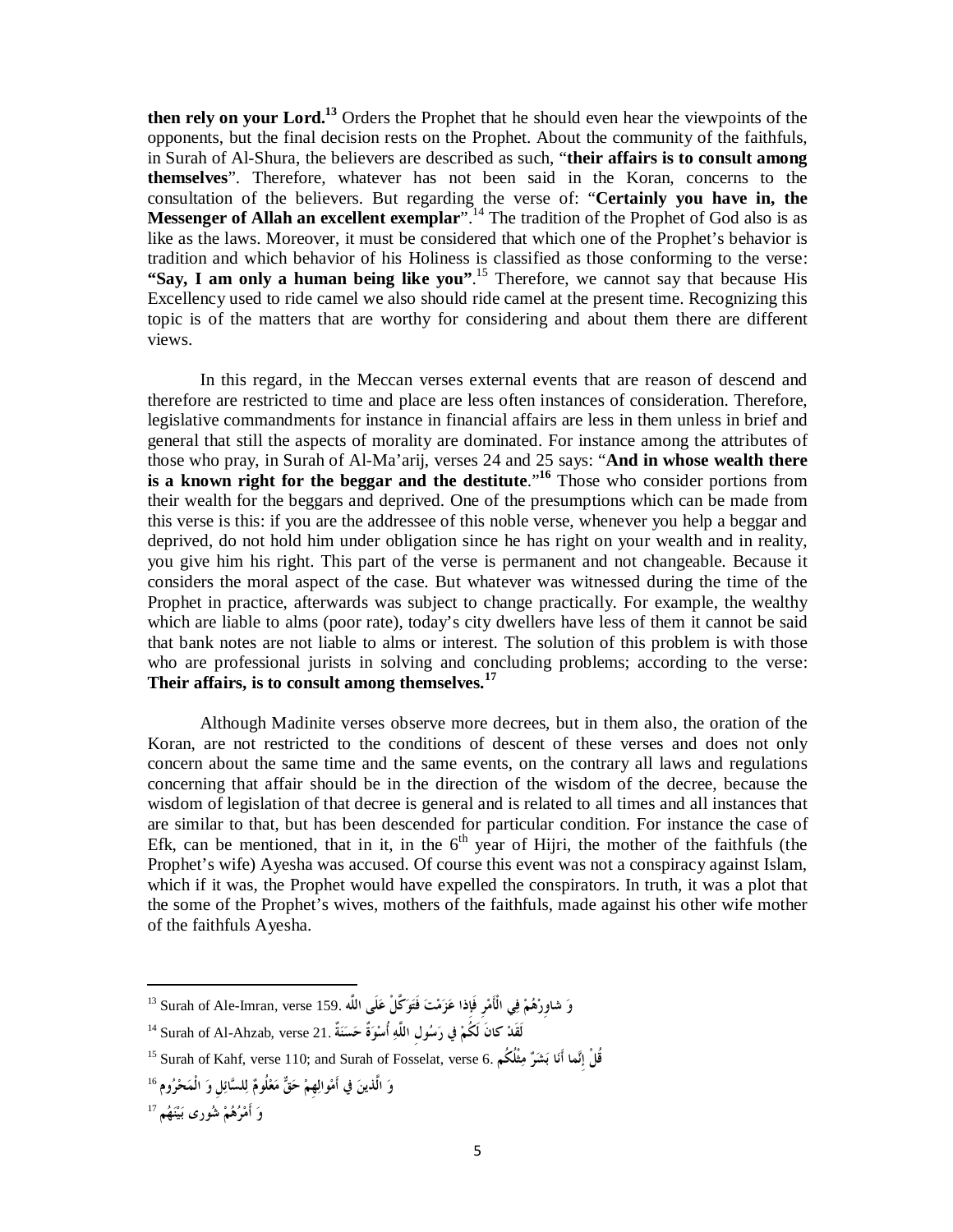**then rely on your Lord.<sup>13</sup>** Orders the Prophet that he should even hear the viewpoints of the opponents, but the final decision rests on the Prophet. About the community of the faithfuls, in Surah of Al-Shura, the believers are described as such, "**their affairs is to consult among themselves**". Therefore, whatever has not been said in the Koran, concerns to the consultation of the believers. But regarding the verse of: "**Certainly you have in, the Messenger of Allah an excellent exemplar**".<sup>14</sup> The tradition of the Prophet of God also is as like as the laws. Moreover, it must be considered that which one of the Prophet's behavior is tradition and which behavior of his Holiness is classified as those conforming to the verse: **"Say, I am only a human being like you"**. <sup>15</sup> Therefore, we cannot say that because His Excellency used to ride camel we also should ride camel at the present time. Recognizing this topic is of the matters that are worthy for considering and about them there are different views.

In this regard, in the Meccan verses external events that are reason of descend and therefore are restricted to time and place are less often instances of consideration. Therefore, legislative commandments for instance in financial affairs are less in them unless in brief and general that still the aspects of morality are dominated. For instance among the attributes of those who pray, in Surah of Al-Ma'arij, verses 24 and 25 says: "**And in whose wealth there is a known right for the beggar and the destitute**."**<sup>16</sup>** Those who consider portions from their wealth for the beggars and deprived. One of the presumptions which can be made from this verse is this: if you are the addressee of this noble verse, whenever you help a beggar and deprived, do not hold him under obligation since he has right on your wealth and in reality, you give him his right. This part of the verse is permanent and not changeable. Because it considers the moral aspect of the case. But whatever was witnessed during the time of the Prophet in practice, afterwards was subject to change practically. For example, the wealthy which are liable to alms (poor rate), today's city dwellers have less of them it cannot be said that bank notes are not liable to alms or interest. The solution of this problem is with those who are professional jurists in solving and concluding problems; according to the verse: **Their affairs, is to consult among themselves.<sup>17</sup>**

Although Madinite verses observe more decrees, but in them also, the oration of the Koran, are not restricted to the conditions of descent of these verses and does not only concern about the same time and the same events, on the contrary all laws and regulations concerning that affair should be in the direction of the wisdom of the decree, because the wisdom of legislation of that decree is general and is related to all times and all instances that are similar to that, but has been descended for particular condition. For instance the case of Efk, can be mentioned, that in it, in the  $6<sup>th</sup>$  year of Hijri, the mother of the faithfuls (the Prophet's wife) Ayesha was accused. Of course this event was not a conspiracy against Islam, which if it was, the Prophet would have expelled the conspirators. In truth, it was a plot that the some of the Prophet's wives, mothers of the faithfuls, made against his other wife mother of the faithfuls Ayesha.

لَقَدْ كانَ لَكُمْ فِي رَسُولِ اللَّهِ أُسْوَةٌ حَسَنَةٌ .Surah of Al-Ahzab, verse 21 <sup>ال</sup>

<sup>15</sup> Surah of Kahf, verse 110; and Surah of Fosselat, verse 6. **ُكم ثُْلم رشب اأَن ماإِن قُلْ**

17 **و أَم رهم شور ى بين هم**

-

**و شاوِر هم في الْأَمرِ فَإِذا عزمت فَتوكَّلْ علَى اللَّه** 159. verse ,Imran-Ale of Surah <sup>13</sup>

**و الَّذين في أَموالهِم حق معُلوم للسائلِ و الْمح روم** <sup>16</sup>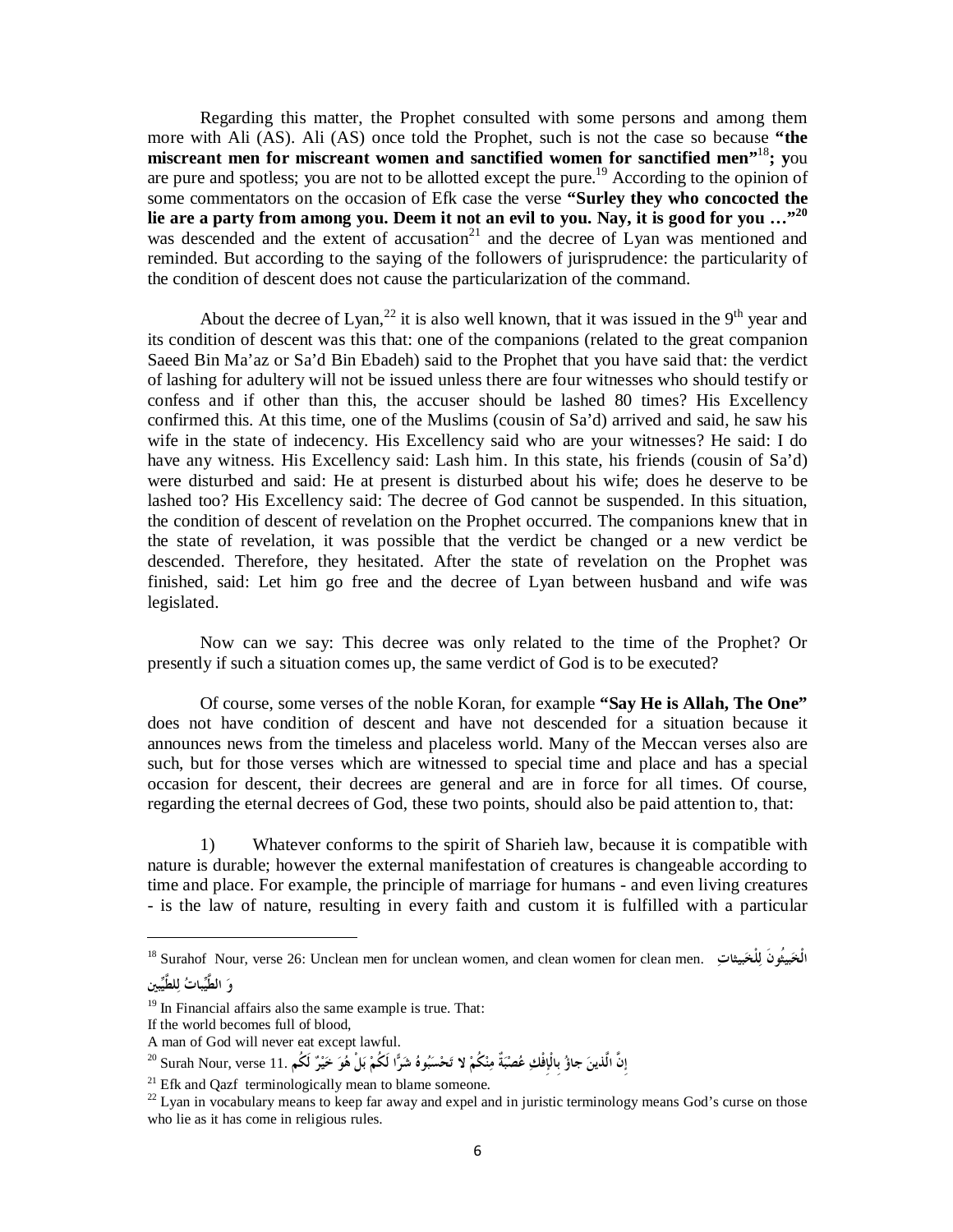Regarding this matter, the Prophet consulted with some persons and among them more with Ali (AS). Ali (AS) once told the Prophet, such is not the case so because **"the miscreant men for miscreant women and sanctified women for sanctified men"**<sup>18</sup>**; y**ou are pure and spotless; you are not to be allotted except the pure.<sup>19</sup> According to the opinion of some commentators on the occasion of Efk case the verse **"Surley they who concocted the**  lie are a party from among you. Deem it not an evil to you. Nay, it is good for you ..."<sup>20</sup> was descended and the extent of accusation<sup>21</sup> and the decree of Lyan was mentioned and reminded. But according to the saying of the followers of jurisprudence: the particularity of the condition of descent does not cause the particularization of the command.

About the decree of Lyan,<sup>22</sup> it is also well known, that it was issued in the 9<sup>th</sup> year and its condition of descent was this that: one of the companions (related to the great companion Saeed Bin Ma'az or Sa'd Bin Ebadeh) said to the Prophet that you have said that: the verdict of lashing for adultery will not be issued unless there are four witnesses who should testify or confess and if other than this, the accuser should be lashed 80 times? His Excellency confirmed this. At this time, one of the Muslims (cousin of Sa'd) arrived and said, he saw his wife in the state of indecency. His Excellency said who are your witnesses? He said: I do have any witness. His Excellency said: Lash him. In this state, his friends (cousin of Sa'd) were disturbed and said: He at present is disturbed about his wife; does he deserve to be lashed too? His Excellency said: The decree of God cannot be suspended. In this situation, the condition of descent of revelation on the Prophet occurred. The companions knew that in the state of revelation, it was possible that the verdict be changed or a new verdict be descended. Therefore, they hesitated. After the state of revelation on the Prophet was finished, said: Let him go free and the decree of Lyan between husband and wife was legislated.

Now can we say: This decree was only related to the time of the Prophet? Or presently if such a situation comes up, the same verdict of God is to be executed?

Of course, some verses of the noble Koran, for example **"Say He is Allah, The One"**  does not have condition of descent and have not descended for a situation because it announces news from the timeless and placeless world. Many of the Meccan verses also are such, but for those verses which are witnessed to special time and place and has a special occasion for descent, their decrees are general and are in force for all times. Of course, regarding the eternal decrees of God, these two points, should also be paid attention to, that:

1) Whatever conforms to the spirit of Sharieh law, because it is compatible with nature is durable; however the external manifestation of creatures is changeable according to time and place. For example, the principle of marriage for humans - and even living creatures - is the law of nature, resulting in every faith and custom it is fulfilled with a particular

<sup>18</sup> Surahof Nour, verse 26: Unclean men for unclean women, and clean women for clean men. **بيثاتلْخل بيُثونَالْخ و الطَّيبات للطَّيبين**

<sup>&</sup>lt;sup>19</sup> In Financial affairs also the same example is true. That:

If the world becomes full of blood,

A man of God will never eat except lawful.

إِنَّ الَّذِينَ جاؤُ بِالْإِفْكِ عُصْبَةٌ مِنْكُمْ لا تَحْسَبُوهُ شَرًّا لَكُمْ بَلْ هُوَ حَيْرٌ لَكُم .11 Surah Nour, verse ؟

 $21$  Efk and Qazf terminologically mean to blame someone.

<sup>&</sup>lt;sup>22</sup> Lyan in vocabulary means to keep far away and expel and in juristic terminology means God's curse on those who lie as it has come in religious rules.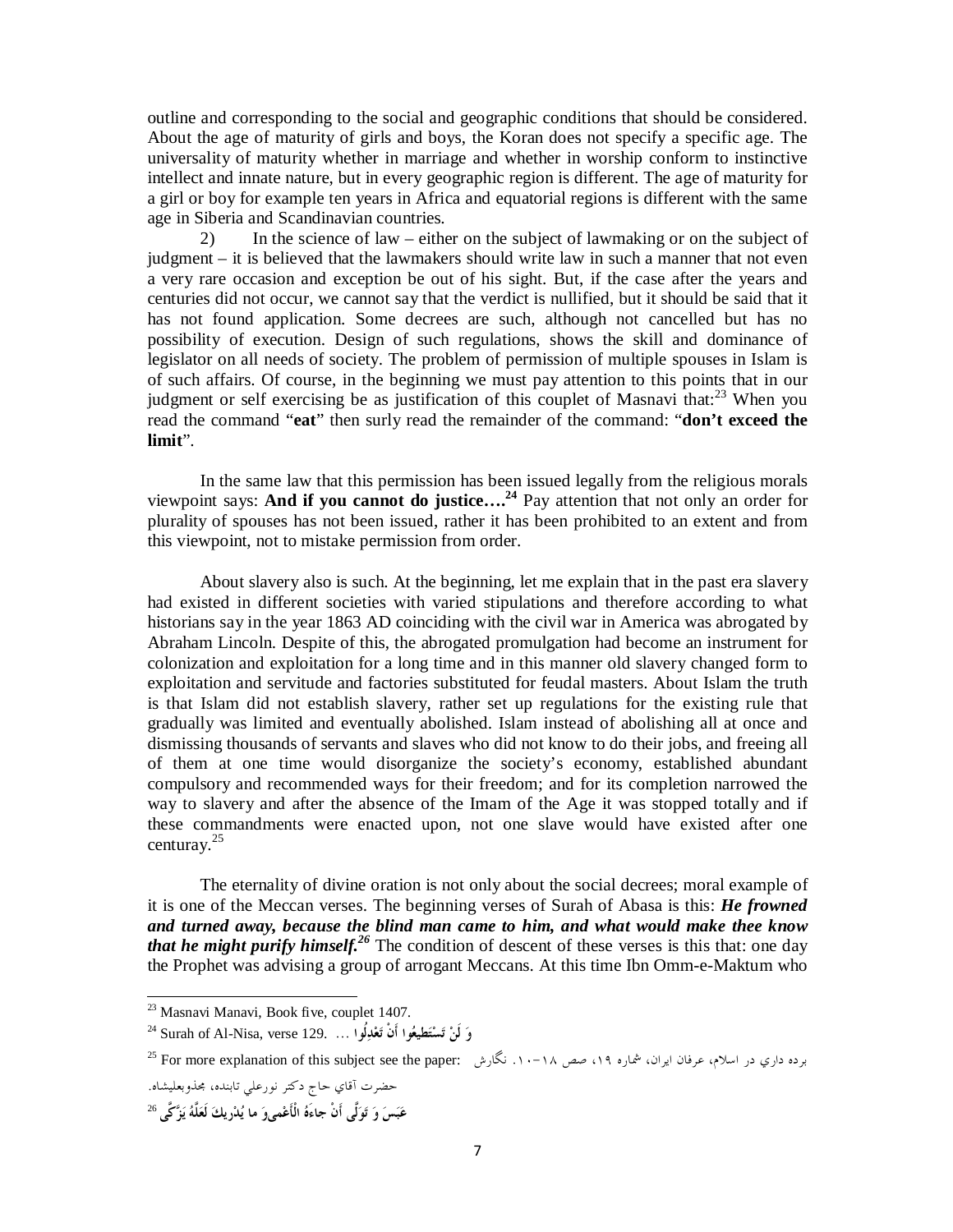outline and corresponding to the social and geographic conditions that should be considered. About the age of maturity of girls and boys, the Koran does not specify a specific age. The universality of maturity whether in marriage and whether in worship conform to instinctive intellect and innate nature, but in every geographic region is different. The age of maturity for a girl or boy for example ten years in Africa and equatorial regions is different with the same age in Siberia and Scandinavian countries.

2) In the science of law – either on the subject of lawmaking or on the subject of judgment – it is believed that the lawmakers should write law in such a manner that not even a very rare occasion and exception be out of his sight. But, if the case after the years and centuries did not occur, we cannot say that the verdict is nullified, but it should be said that it has not found application. Some decrees are such, although not cancelled but has no possibility of execution. Design of such regulations, shows the skill and dominance of legislator on all needs of society. The problem of permission of multiple spouses in Islam is of such affairs. Of course, in the beginning we must pay attention to this points that in our judgment or self exercising be as justification of this couplet of Masnavi that: $^{23}$  When you read the command "**eat**" then surly read the remainder of the command: "**don't exceed the limit**".

In the same law that this permission has been issued legally from the religious morals viewpoint says: **And if you cannot do justice…. <sup>24</sup>** Pay attention that not only an order for plurality of spouses has not been issued, rather it has been prohibited to an extent and from this viewpoint, not to mistake permission from order.

About slavery also is such. At the beginning, let me explain that in the past era slavery had existed in different societies with varied stipulations and therefore according to what historians say in the year 1863 AD coinciding with the civil war in America was abrogated by Abraham Lincoln. Despite of this, the abrogated promulgation had become an instrument for colonization and exploitation for a long time and in this manner old slavery changed form to exploitation and servitude and factories substituted for feudal masters. About Islam the truth is that Islam did not establish slavery, rather set up regulations for the existing rule that gradually was limited and eventually abolished. Islam instead of abolishing all at once and dismissing thousands of servants and slaves who did not know to do their jobs, and freeing all of them at one time would disorganize the society's economy, established abundant compulsory and recommended ways for their freedom; and for its completion narrowed the way to slavery and after the absence of the Imam of the Age it was stopped totally and if these commandments were enacted upon, not one slave would have existed after one centuray.<sup>25</sup>

The eternality of divine oration is not only about the social decrees; moral example of it is one of the Meccan verses. The beginning verses of Surah of Abasa is this: *He frowned and turned away, because the blind man came to him, and what would make thee know that he might purify himself.*<sup>26</sup> The condition of descent of these verses is this that: one day the Prophet was advising a group of arrogant Meccans. At this time Ibn Omm-e-Maktum who

-

<sup>&</sup>lt;sup>23</sup> Masnavi Manavi, Book five, couplet 1407.

<sup>24</sup> Surah of Al-Nisa, verse 129. **... ُلوادعت أَنْ عواطيتست لَن و**

برده داري در اسلام، عرفان ايران، شماره ۱۹، صص ۱۸–۱۰. نگارش :Por more explanation of this subject see the paper

حضرت آقاي حاج دكتر نورعلي تابنده، مجذوبعليشاه.

<sup>26</sup> **عبس و تولَّى أَنْ جاءَه الْأَعمىو ما يدريك لَعلَّه يزكَّى**